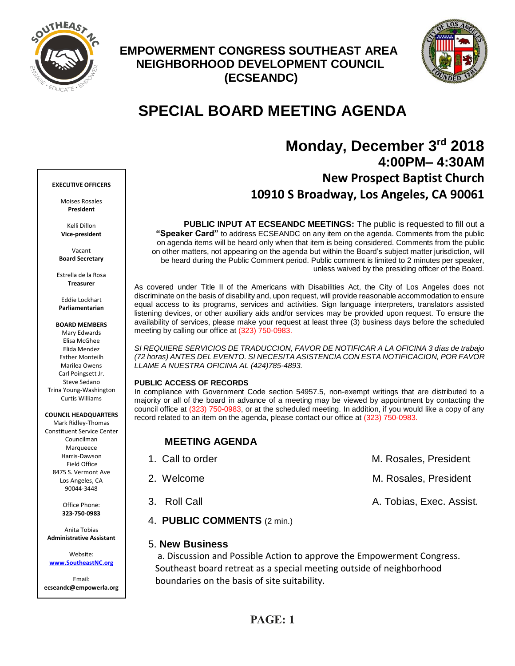

## **EMPOWERMENT CONGRESS SOUTHEAST AREA NEIGHBORHOOD DEVELOPMENT COUNCIL (ECSEANDC)**



# **SPECIAL BOARD MEETING AGENDA**

# **Monday, December 3 rd 2018 4:00PM– 4:30AM New Prospect Baptist Church 10910 S Broadway, Los Angeles, CA 90061**

**PUBLIC INPUT AT ECSEANDC MEETINGS:** The public is requested to fill out a **"Speaker Card"** to address ECSEANDC on any item on the agenda. Comments from the public on agenda items will be heard only when that item is being considered. Comments from the public on other matters, not appearing on the agenda but within the Board's subject matter jurisdiction, will be heard during the Public Comment period. Public comment is limited to 2 minutes per speaker, unless waived by the presiding officer of the Board.

As covered under Title II of the Americans with Disabilities Act, the City of Los Angeles does not discriminate on the basis of disability and, upon request, will provide reasonable accommodation to ensure equal access to its programs, services and activities. Sign language interpreters, translators assisted listening devices, or other auxiliary aids and/or services may be provided upon request. To ensure the availability of services, please make your request at least three (3) business days before the scheduled meeting by calling our office at (323) 750-0983.

*SI REQUIERE SERVICIOS DE TRADUCCION, FAVOR DE NOTIFICAR A LA OFICINA 3 días de trabajo (72 horas) ANTES DEL EVENTO. SI NECESITA ASISTENCIA CON ESTA NOTIFICACION, POR FAVOR LLAME A NUESTRA OFICINA AL (424)785-4893.*

## **PUBLIC ACCESS OF RECORDS**

5. **New Business**

In compliance with Government Code section 54957.5, non-exempt writings that are distributed to a majority or all of the board in advance of a meeting may be viewed by appointment by contacting the council office at (323) 750-0983, or at the scheduled meeting. In addition, if you would like a copy of any record related to an item on the agenda, please contact our office at (323) 750-0983.

## **MEETING AGENDA**

4. **PUBLIC COMMENTS** (2 min.)

| 1. Call to order | M. Rosales, President    |
|------------------|--------------------------|
| 2. Welcome       | M. Rosales, President    |
| 3. Roll Call     | A. Tobias, Exec. Assist. |

a. Discussion and Possible Action to approve the Empowerment Congress. Southeast board retreat as a special meeting outside of neighborhood boundaries on the basis of site suitability.

## **EXECUTIVE OFFICERS**

Moises Rosales **President**

Kelli Dillon **Vice-president**

Vacant **Board Secretary**

Estrella de la Rosa **Treasurer**

Eddie Lockhart **Parliamentarian**

## **BOARD MEMBERS**

Mary Edwards Elisa McGhee Elida Mendez Esther Monteilh Marilea Owens Carl Poingsett Jr. Steve Sedano Trina Young-Washington Curtis Williams

## **COUNCIL HEADQUARTERS**

Mark Ridley-Thomas Constituent Service Center Councilman **Marqueece** Harris-Dawson Field Office 8475 S. Vermont Ave Los Angeles, CA 90044-3448

> Office Phone: **323-750-0983**

Anita Tobias **Administrative Assistant**

Website: **[www.SoutheastNC.org](http://www.ecseandc.org/)**

Email: **ecseandc@empowerla.org**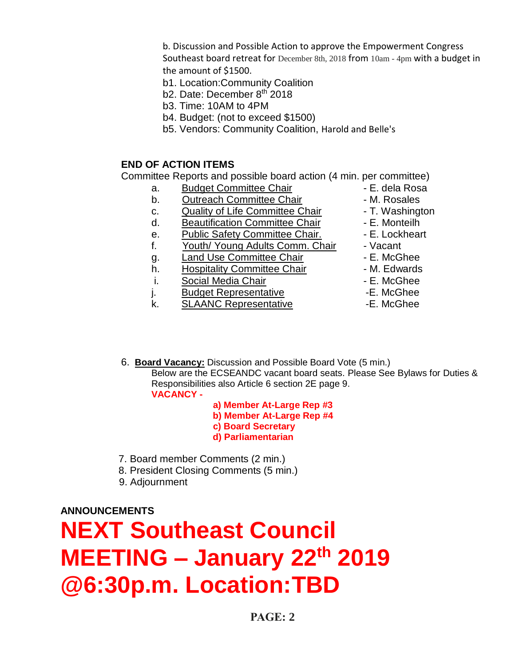b. Discussion and Possible Action to approve the Empowerment Congress Southeast board retreat for [December 8th, 2018](calendar:T2:December%208th,%202018) from [10am -](calendar:T1:10am%20-%204pm) 4pm with a budget in the amount of \$1500.

- b1. Location:Community Coalition
- b2. Date: December 8<sup>th</sup> 2018
- b3. Time: 10AM to 4PM
- b4. Budget: (not to exceed \$1500)
- b5. Vendors: Community Coalition, Harold and Belle's

## **END OF ACTION ITEMS**

Committee Reports and possible board action (4 min. per committee)

- a. Budget Committee Chair **1988** E. dela Rosa
- b. Outreach Committee Chair **Daniel Access** M. Rosales
- c. Quality of Life Committee Chair F. Washington
- d. Beautification Committee Chair F. Monteilh
- e. Public Safety Committee Chair. E. Lockheart
- f. Youth/ Young Adults Comm. Chair Vacant
- g. Land Use Committee Chair **E. McGhee**
- h. Hospitality Committee Chair M. Edwards
- i. Social Media Chair **Chair F. McGhee**
- j. Budget Representative **-E. McGhee**
- k. SLAANC Representative -E. McGhee
- 
- 
- 
- 
- 
- 
- 
- 
- 
- 
- 
- 6. **Board Vacancy:** Discussion and Possible Board Vote (5 min.) Below are the ECSEANDC vacant board seats. Please See Bylaws for Duties &

Responsibilities also Article 6 section 2E page 9. **VACANCY -**

- **a) Member At-Large Rep #3**
- **b) Member At-Large Rep #4**
- **c) Board Secretary**
- **d) Parliamentarian**
- 7. Board member Comments (2 min.)
- 8. President Closing Comments (5 min.)
- 9. Adjournment

**ANNOUNCEMENTS**

# **NEXT Southeast Council MEETING – January 22th 2019 @6:30p.m. Location:TBD**